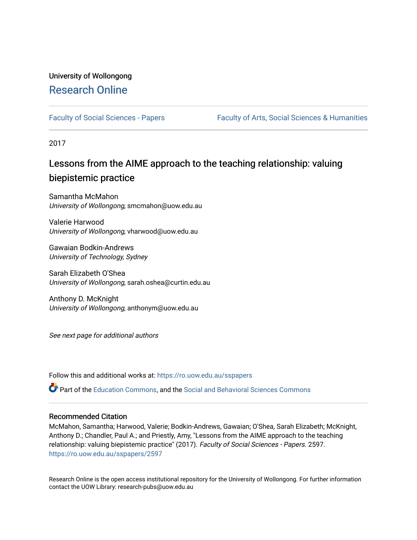# University of Wollongong [Research Online](https://ro.uow.edu.au/)

[Faculty of Social Sciences - Papers](https://ro.uow.edu.au/sspapers) Faculty of Arts, Social Sciences & Humanities

2017

# Lessons from the AIME approach to the teaching relationship: valuing biepistemic practice

Samantha McMahon University of Wollongong, smcmahon@uow.edu.au

Valerie Harwood University of Wollongong, vharwood@uow.edu.au

Gawaian Bodkin-Andrews University of Technology, Sydney

Sarah Elizabeth O'Shea University of Wollongong, sarah.oshea@curtin.edu.au

Anthony D. McKnight University of Wollongong, anthonym@uow.edu.au

See next page for additional authors

Follow this and additional works at: [https://ro.uow.edu.au/sspapers](https://ro.uow.edu.au/sspapers?utm_source=ro.uow.edu.au%2Fsspapers%2F2597&utm_medium=PDF&utm_campaign=PDFCoverPages) 

Part of the [Education Commons](http://network.bepress.com/hgg/discipline/784?utm_source=ro.uow.edu.au%2Fsspapers%2F2597&utm_medium=PDF&utm_campaign=PDFCoverPages), and the [Social and Behavioral Sciences Commons](http://network.bepress.com/hgg/discipline/316?utm_source=ro.uow.edu.au%2Fsspapers%2F2597&utm_medium=PDF&utm_campaign=PDFCoverPages) 

#### Recommended Citation

McMahon, Samantha; Harwood, Valerie; Bodkin-Andrews, Gawaian; O'Shea, Sarah Elizabeth; McKnight, Anthony D.; Chandler, Paul A.; and Priestly, Amy, "Lessons from the AIME approach to the teaching relationship: valuing biepistemic practice" (2017). Faculty of Social Sciences - Papers. 2597. [https://ro.uow.edu.au/sspapers/2597](https://ro.uow.edu.au/sspapers/2597?utm_source=ro.uow.edu.au%2Fsspapers%2F2597&utm_medium=PDF&utm_campaign=PDFCoverPages)

Research Online is the open access institutional repository for the University of Wollongong. For further information contact the UOW Library: research-pubs@uow.edu.au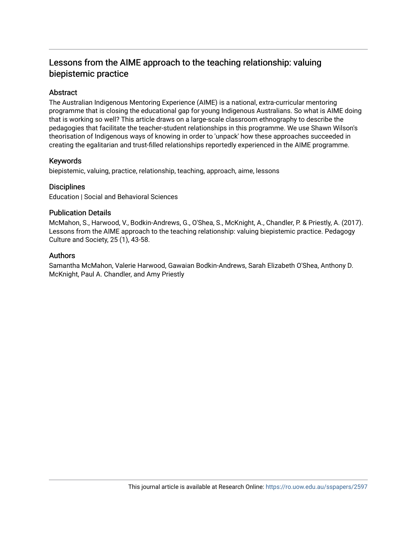# Lessons from the AIME approach to the teaching relationship: valuing biepistemic practice

## **Abstract**

The Australian Indigenous Mentoring Experience (AIME) is a national, extra-curricular mentoring programme that is closing the educational gap for young Indigenous Australians. So what is AIME doing that is working so well? This article draws on a large-scale classroom ethnography to describe the pedagogies that facilitate the teacher-student relationships in this programme. We use Shawn Wilson's theorisation of Indigenous ways of knowing in order to 'unpack' how these approaches succeeded in creating the egalitarian and trust-filled relationships reportedly experienced in the AIME programme.

#### Keywords

biepistemic, valuing, practice, relationship, teaching, approach, aime, lessons

## **Disciplines**

Education | Social and Behavioral Sciences

## Publication Details

McMahon, S., Harwood, V., Bodkin-Andrews, G., O'Shea, S., McKnight, A., Chandler, P. & Priestly, A. (2017). Lessons from the AIME approach to the teaching relationship: valuing biepistemic practice. Pedagogy Culture and Society, 25 (1), 43-58.

## Authors

Samantha McMahon, Valerie Harwood, Gawaian Bodkin-Andrews, Sarah Elizabeth O'Shea, Anthony D. McKnight, Paul A. Chandler, and Amy Priestly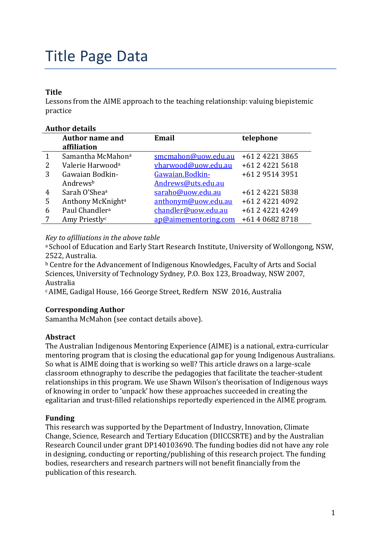# Title Page Data

# **Title**

Lessons from the AIME approach to the teaching relationship: valuing biepistemic practice

## **Author details**

|   | <b>Author name and</b>       | Email                | telephone       |  |  |
|---|------------------------------|----------------------|-----------------|--|--|
|   | affiliation                  |                      |                 |  |  |
|   | Samantha McMahona            | smcmahon@uow.edu.au  | +61 2 4221 3865 |  |  |
|   | Valerie Harwood <sup>a</sup> | vharwood@uow.edu.au  | +61 2 4221 5618 |  |  |
| 3 | Gawaian Bodkin-              | Gawaian. Bodkin-     | +61 2 9514 3951 |  |  |
|   | Andrewsb                     | Andrews@uts.edu.au   |                 |  |  |
| 4 | Sarah O'Shea <sup>a</sup>    | saraho@uow.edu.au    | +61 2 4221 5838 |  |  |
| 5 | Anthony McKnighta            | anthonym@uow.edu.au  | +61 2 4221 4092 |  |  |
| 6 | Paul Chandler <sup>a</sup>   | chandler@uow.edu.au  | +61 2 4221 4249 |  |  |
|   | Amy Priestly <sup>c</sup>    | ap@aimementoring.com | +61 4 0682 8718 |  |  |

# *Key to afilliations in the above table*

a School of Education and Early Start Research Institute, University of Wollongong, NSW, 2522, Australia.

<sup>b</sup> Centre for the Advancement of Indigenous Knowledges, Faculty of Arts and Social Sciences, University of Technology Sydney, P.O. Box 123, Broadway, NSW 2007, Australia

c AIME, Gadigal House, 166 George Street, Redfern NSW 2016, Australia

# **Corresponding Author**

Samantha McMahon (see contact details above).

# **Abstract**

The Australian Indigenous Mentoring Experience (AIME) is a national, extra-curricular mentoring program that is closing the educational gap for young Indigenous Australians. So what is AIME doing that is working so well? This article draws on a large-scale classroom ethnography to describe the pedagogies that facilitate the teacher-student relationships in this program. We use Shawn Wilson's theorisation of Indigenous ways of knowing in order to 'unpack' how these approaches succeeded in creating the egalitarian and trust-filled relationships reportedly experienced in the AIME program.

# **Funding**

This research was supported by the Department of Industry, Innovation, Climate Change, Science, Research and Tertiary Education (DIICCSRTE) and by the Australian Research Council under grant DP140103690. The funding bodies did not have any role in designing, conducting or reporting/publishing of this research project. The funding bodies, researchers and research partners will not benefit financially from the publication of this research.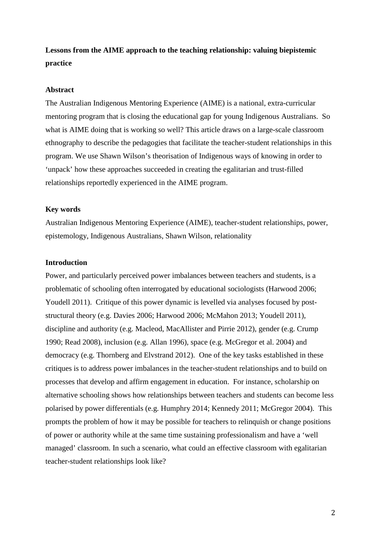**Lessons from the AIME approach to the teaching relationship: valuing biepistemic practice**

#### **Abstract**

The Australian Indigenous Mentoring Experience (AIME) is a national, extra-curricular mentoring program that is closing the educational gap for young Indigenous Australians. So what is AIME doing that is working so well? This article draws on a large-scale classroom ethnography to describe the pedagogies that facilitate the teacher-student relationships in this program. We use Shawn Wilson's theorisation of Indigenous ways of knowing in order to 'unpack' how these approaches succeeded in creating the egalitarian and trust-filled relationships reportedly experienced in the AIME program.

## **Key words**

Australian Indigenous Mentoring Experience (AIME), teacher-student relationships, power, epistemology, Indigenous Australians, Shawn Wilson, relationality

#### **Introduction**

Power, and particularly perceived power imbalances between teachers and students, is a problematic of schooling often interrogated by educational sociologists (Harwood 2006; Youdell 2011). Critique of this power dynamic is levelled via analyses focused by poststructural theory (e.g. Davies 2006; Harwood 2006; McMahon 2013; Youdell 2011), discipline and authority (e.g. Macleod, MacAllister and Pirrie 2012), gender (e.g. Crump 1990; Read 2008), inclusion (e.g. Allan 1996), space (e.g. McGregor et al. 2004) and democracy (e.g. Thornberg and Elvstrand 2012). One of the key tasks established in these critiques is to address power imbalances in the teacher-student relationships and to build on processes that develop and affirm engagement in education. For instance, scholarship on alternative schooling shows how relationships between teachers and students can become less polarised by power differentials (e.g. Humphry 2014; Kennedy 2011; McGregor 2004). This prompts the problem of how it may be possible for teachers to relinquish or change positions of power or authority while at the same time sustaining professionalism and have a 'well managed' classroom. In such a scenario, what could an effective classroom with egalitarian teacher-student relationships look like?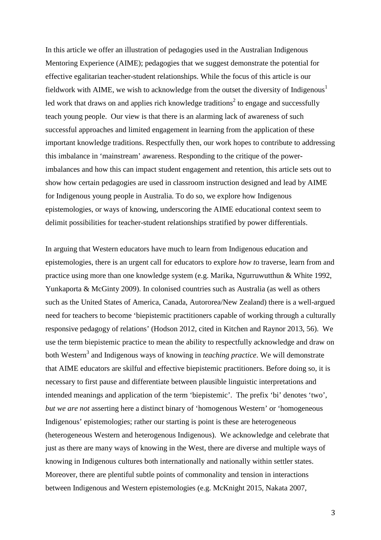In this article we offer an illustration of pedagogies used in the Australian Indigenous Mentoring Experience (AIME); pedagogies that we suggest demonstrate the potential for effective egalitarian teacher-student relationships. While the focus of this article is our fieldwork with AIME, we wish to acknowledge from the outset the diversity of Indigenous<sup>1</sup> led work that draws on and applies rich knowledge traditions<sup>2</sup> to engage and successfully teach young people. Our view is that there is an alarming lack of awareness of such successful approaches and limited engagement in learning from the application of these important knowledge traditions. Respectfully then, our work hopes to contribute to addressing this imbalance in 'mainstream' awareness. Responding to the critique of the powerimbalances and how this can impact student engagement and retention, this article sets out to show how certain pedagogies are used in classroom instruction designed and lead by AIME for Indigenous young people in Australia. To do so, we explore how Indigenous epistemologies, or ways of knowing, underscoring the AIME educational context seem to delimit possibilities for teacher-student relationships stratified by power differentials.

In arguing that Western educators have much to learn from Indigenous education and epistemologies, there is an urgent call for educators to explore *how t*o traverse, learn from and practice using more than one knowledge system (e.g. Marika, Ngurruwutthun & White 1992, Yunkaporta & McGinty 2009). In colonised countries such as Australia (as well as others such as the United States of America, Canada, Autororea/New Zealand) there is a well-argued need for teachers to become 'biepistemic practitioners capable of working through a culturally responsive pedagogy of relations' (Hodson 2012, cited in Kitchen and Raynor 2013, 56). We use the term biepistemic practice to mean the ability to respectfully acknowledge and draw on both Western<sup>3</sup> and Indigenous ways of knowing in *teaching practice*. We will demonstrate that AIME educators are skilful and effective biepistemic practitioners. Before doing so, it is necessary to first pause and differentiate between plausible linguistic interpretations and intended meanings and application of the term 'biepistemic'. The prefix 'bi' denotes 'two', *but we are not* asserting here a distinct binary of 'homogenous Western' or 'homogeneous Indigenous' epistemologies; rather our starting is point is these are heterogeneous (heterogeneous Western and heterogenous Indigenous). We acknowledge and celebrate that just as there are many ways of knowing in the West, there are diverse and multiple ways of knowing in Indigenous cultures both internationally and nationally within settler states. Moreover, there are plentiful subtle points of commonality and tension in interactions between Indigenous and Western epistemologies (e.g. McKnight 2015, Nakata 2007,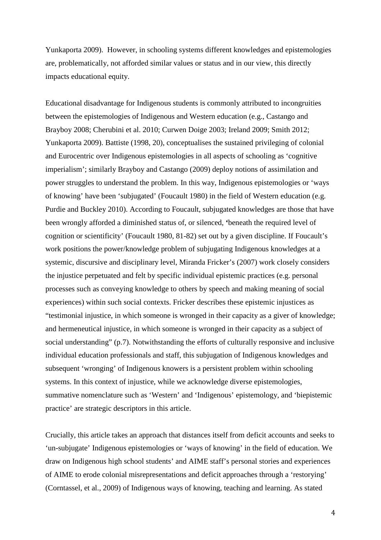Yunkaporta 2009). However, in schooling systems different knowledges and epistemologies are, problematically, not afforded similar values or status and in our view, this directly impacts educational equity.

Educational disadvantage for Indigenous students is commonly attributed to incongruities between the epistemologies of Indigenous and Western education (e.g., Castango and Brayboy 2008; Cherubini et al. 2010; Curwen Doige 2003; Ireland 2009; Smith 2012; Yunkaporta 2009). Battiste (1998, 20), conceptualises the sustained privileging of colonial and Eurocentric over Indigenous epistemologies in all aspects of schooling as 'cognitive imperialism'; similarly Brayboy and Castango (2009) deploy notions of assimilation and power struggles to understand the problem. In this way, Indigenous epistemologies or 'ways of knowing' have been 'subjugated' (Foucault 1980) in the field of Western education (e.g. Purdie and Buckley 2010). According to Foucault, subjugated knowledges are those that have been wrongly afforded a diminished status of, or silenced, **'**beneath the required level of cognition or scientificity' (Foucault 1980, 81-82) set out by a given discipline. If Foucault's work positions the power/knowledge problem of subjugating Indigenous knowledges at a systemic, discursive and disciplinary level, Miranda Fricker's (2007) work closely considers the injustice perpetuated and felt by specific individual epistemic practices (e.g. personal processes such as conveying knowledge to others by speech and making meaning of social experiences) within such social contexts. Fricker describes these epistemic injustices as "testimonial injustice, in which someone is wronged in their capacity as a giver of knowledge; and hermeneutical injustice, in which someone is wronged in their capacity as a subject of social understanding" (p.7). Notwithstanding the efforts of culturally responsive and inclusive individual education professionals and staff, this subjugation of Indigenous knowledges and subsequent 'wronging' of Indigenous knowers is a persistent problem within schooling systems. In this context of injustice, while we acknowledge diverse epistemologies, summative nomenclature such as 'Western' and 'Indigenous' epistemology, and 'biepistemic practice' are strategic descriptors in this article.

Crucially, this article takes an approach that distances itself from deficit accounts and seeks to 'un-subjugate' Indigenous epistemologies or 'ways of knowing' in the field of education. We draw on Indigenous high school students' and AIME staff's personal stories and experiences of AIME to erode colonial misrepresentations and deficit approaches through a 'restorying' (Corntassel, et al., 2009) of Indigenous ways of knowing, teaching and learning. As stated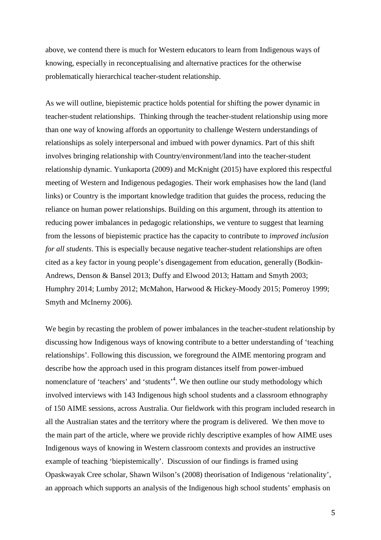above, we contend there is much for Western educators to learn from Indigenous ways of knowing, especially in reconceptualising and alternative practices for the otherwise problematically hierarchical teacher-student relationship.

As we will outline, biepistemic practice holds potential for shifting the power dynamic in teacher-student relationships. Thinking through the teacher-student relationship using more than one way of knowing affords an opportunity to challenge Western understandings of relationships as solely interpersonal and imbued with power dynamics. Part of this shift involves bringing relationship with Country/environment/land into the teacher-student relationship dynamic. Yunkaporta (2009) and McKnight (2015) have explored this respectful meeting of Western and Indigenous pedagogies. Their work emphasises how the land (land links) or Country is the important knowledge tradition that guides the process, reducing the reliance on human power relationships. Building on this argument, through its attention to reducing power imbalances in pedagogic relationships, we venture to suggest that learning from the lessons of biepistemic practice has the capacity to contribute to *improved inclusion for all students*. This is especially because negative teacher-student relationships are often cited as a key factor in young people's disengagement from education, generally (Bodkin-Andrews, Denson & Bansel 2013; Duffy and Elwood 2013; Hattam and Smyth 2003; Humphry 2014; Lumby 2012; McMahon, Harwood & Hickey-Moody 2015; Pomeroy 1999; Smyth and McInerny 2006).

We begin by recasting the problem of power imbalances in the teacher-student relationship by discussing how Indigenous ways of knowing contribute to a better understanding of 'teaching relationships'. Following this discussion, we foreground the AIME mentoring program and describe how the approach used in this program distances itself from power-imbued nomenclature of 'teachers' and 'students'<sup>4</sup>. We then outline our study methodology which involved interviews with 143 Indigenous high school students and a classroom ethnography of 150 AIME sessions, across Australia. Our fieldwork with this program included research in all the Australian states and the territory where the program is delivered. We then move to the main part of the article, where we provide richly descriptive examples of how AIME uses Indigenous ways of knowing in Western classroom contexts and provides an instructive example of teaching 'biepistemically'. Discussion of our findings is framed using Opaskwayak Cree scholar, Shawn Wilson's (2008) theorisation of Indigenous 'relationality', an approach which supports an analysis of the Indigenous high school students' emphasis on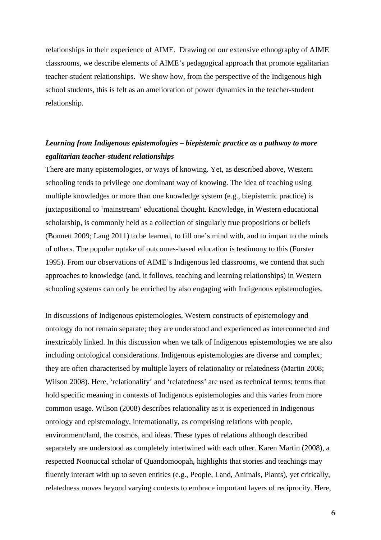relationships in their experience of AIME. Drawing on our extensive ethnography of AIME classrooms, we describe elements of AIME's pedagogical approach that promote egalitarian teacher-student relationships. We show how, from the perspective of the Indigenous high school students, this is felt as an amelioration of power dynamics in the teacher-student relationship.

# *Learning from Indigenous epistemologies – biepistemic practice as a pathway to more egalitarian teacher-student relationships*

There are many epistemologies, or ways of knowing. Yet, as described above, Western schooling tends to privilege one dominant way of knowing. The idea of teaching using multiple knowledges or more than one knowledge system (e.g., biepistemic practice) is juxtapositional to 'mainstream' educational thought. Knowledge, in Western educational scholarship, is commonly held as a collection of singularly true propositions or beliefs (Bonnett 2009; Lang 2011) to be learned, to fill one's mind with, and to impart to the minds of others. The popular uptake of outcomes-based education is testimony to this (Forster 1995). From our observations of AIME's Indigenous led classrooms, we contend that such approaches to knowledge (and, it follows, teaching and learning relationships) in Western schooling systems can only be enriched by also engaging with Indigenous epistemologies.

In discussions of Indigenous epistemologies, Western constructs of epistemology and ontology do not remain separate; they are understood and experienced as interconnected and inextricably linked. In this discussion when we talk of Indigenous epistemologies we are also including ontological considerations. Indigenous epistemologies are diverse and complex; they are often characterised by multiple layers of relationality or relatedness (Martin 2008; Wilson 2008). Here, 'relationality' and 'relatedness' are used as technical terms; terms that hold specific meaning in contexts of Indigenous epistemologies and this varies from more common usage. Wilson (2008) describes relationality as it is experienced in Indigenous ontology and epistemology, internationally, as comprising relations with people, environment/land, the cosmos, and ideas. These types of relations although described separately are understood as completely intertwined with each other. Karen Martin (2008), a respected Noonuccal scholar of Quandomoopah, highlights that stories and teachings may fluently interact with up to seven entities (e.g., People, Land, Animals, Plants), yet critically, relatedness moves beyond varying contexts to embrace important layers of reciprocity. Here,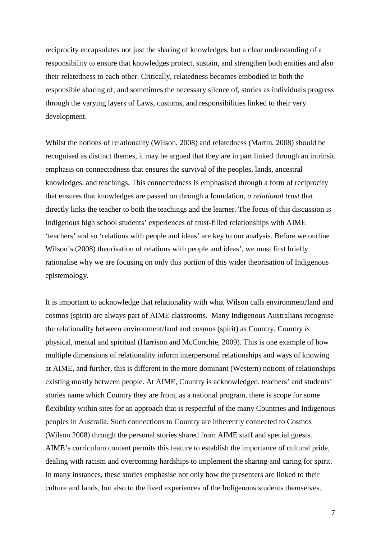reciprocity encapsulates not just the sharing of knowledges, but a clear understanding of a responsibility to ensure that knowledges protect, sustain, and strengthen both entities and also their relatedness to each other. Critically, relatedness becomes embodied in both the responsible sharing of, and sometimes the necessary silence of, stories as individuals progress through the varying layers of Laws, customs, and responsibilities linked to their very development.

Whilst the notions of relationality (Wilson, 2008) and relatedness (Martin, 2008) should be recognised as distinct themes, it may be argued that they are in part linked through an intrinsic emphasis on connectedness that ensures the survival of the peoples, lands, ancestral knowledges, and teachings. This connectedness is emphasised through a form of reciprocity that ensures that knowledges are passed on through a foundation, *a relational trust* that directly links the teacher to both the teachings and the learner. The focus of this discussion is Indigenous high school students' experiences of trust-filled relationships with AIME 'teachers' and so 'relations with people and ideas' are key to our analysis. Before we outline Wilson's (2008) theorisation of relations with people and ideas', we must first briefly rationalise why we are focusing on only this portion of this wider theorisation of Indigenous epistemology.

It is important to acknowledge that relationality with what Wilson calls environment/land and cosmos (spirit) are always part of AIME classrooms. Many Indigenous Australians recognise the relationality between environment/land and cosmos (spirit) as Country. Country *is* physical, mental and spiritual (Harrison and McConchie, 2009). This is one example of how multiple dimensions of relationality inform interpersonal relationships and ways of knowing at AIME, and further, this is different to the more dominant (Western) notions of relationships existing mostly between people. At AIME, Country is acknowledged, teachers' and students' stories name which Country they are from, as a national program, there is scope for some flexibility within sites for an approach that is respectful of the many Countries and Indigenous peoples in Australia. Such connections to Country are inherently connected to Cosmos (Wilson 2008) through the personal stories shared from AIME staff and special guests. AIME's curriculum content permits this feature to establish the importance of cultural pride, dealing with racism and overcoming hardships to implement the sharing and caring for spirit. In many instances, these stories emphasise not only how the presenters are linked to their culture and lands, but also to the lived experiences of the Indigenous students themselves.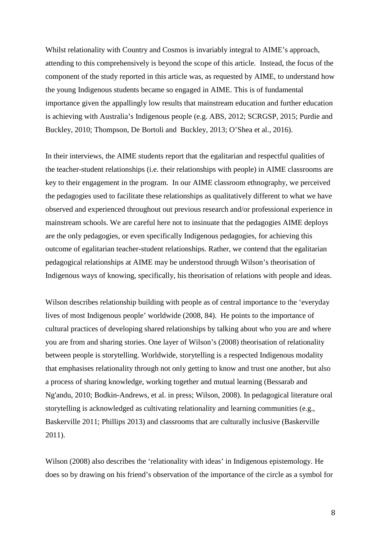Whilst relationality with Country and Cosmos is invariably integral to AIME's approach, attending to this comprehensively is beyond the scope of this article. Instead, the focus of the component of the study reported in this article was, as requested by AIME, to understand how the young Indigenous students became so engaged in AIME. This is of fundamental importance given the appallingly low results that mainstream education and further education is achieving with Australia's Indigenous people (e.g. ABS, 2012; SCRGSP, 2015; Purdie and Buckley, 2010; Thompson, De Bortoli and Buckley, 2013; O'Shea et al., 2016).

In their interviews, the AIME students report that the egalitarian and respectful qualities of the teacher-student relationships (i.e. their relationships with people) in AIME classrooms are key to their engagement in the program. In our AIME classroom ethnography, we perceived the pedagogies used to facilitate these relationships as qualitatively different to what we have observed and experienced throughout out previous research and/or professional experience in mainstream schools. We are careful here not to insinuate that the pedagogies AIME deploys are the only pedagogies, or even specifically Indigenous pedagogies, for achieving this outcome of egalitarian teacher-student relationships. Rather, we contend that the egalitarian pedagogical relationships at AIME may be understood through Wilson's theorisation of Indigenous ways of knowing, specifically, his theorisation of relations with people and ideas.

Wilson describes relationship building with people as of central importance to the 'everyday lives of most Indigenous people' worldwide (2008, 84). He points to the importance of cultural practices of developing shared relationships by talking about who you are and where you are from and sharing stories. One layer of Wilson's (2008) theorisation of relationality between people is storytelling. Worldwide, storytelling is a respected Indigenous modality that emphasises relationality through not only getting to know and trust one another, but also a process of sharing knowledge, working together and mutual learning (Bessarab and Ng'andu, 2010; Bodkin-Andrews, et al. in press; Wilson, 2008). In pedagogical literature oral storytelling is acknowledged as cultivating relationality and learning communities (e.g., Baskerville 2011; Phillips 2013) and classrooms that are culturally inclusive (Baskerville 2011).

Wilson (2008) also describes the 'relationality with ideas' in Indigenous epistemology. He does so by drawing on his friend's observation of the importance of the circle as a symbol for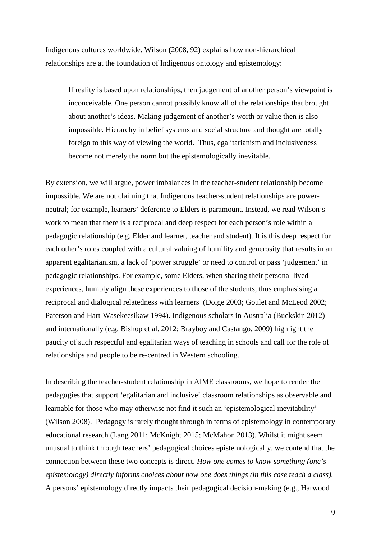Indigenous cultures worldwide. Wilson (2008, 92) explains how non-hierarchical relationships are at the foundation of Indigenous ontology and epistemology:

If reality is based upon relationships, then judgement of another person's viewpoint is inconceivable. One person cannot possibly know all of the relationships that brought about another's ideas. Making judgement of another's worth or value then is also impossible. Hierarchy in belief systems and social structure and thought are totally foreign to this way of viewing the world. Thus, egalitarianism and inclusiveness become not merely the norm but the epistemologically inevitable.

By extension, we will argue, power imbalances in the teacher-student relationship become impossible. We are not claiming that Indigenous teacher-student relationships are powerneutral; for example, learners' deference to Elders is paramount. Instead, we read Wilson's work to mean that there is a reciprocal and deep respect for each person's role within a pedagogic relationship (e.g. Elder and learner, teacher and student). It is this deep respect for each other's roles coupled with a cultural valuing of humility and generosity that results in an apparent egalitarianism, a lack of 'power struggle' or need to control or pass 'judgement' in pedagogic relationships. For example, some Elders, when sharing their personal lived experiences, humbly align these experiences to those of the students, thus emphasising a reciprocal and dialogical relatedness with learners (Doige 2003; Goulet and McLeod 2002; Paterson and Hart-Wasekeesikaw 1994). Indigenous scholars in Australia (Buckskin 2012) and internationally (e.g. Bishop et al. 2012; Brayboy and Castango, 2009) highlight the paucity of such respectful and egalitarian ways of teaching in schools and call for the role of relationships and people to be re-centred in Western schooling.

In describing the teacher-student relationship in AIME classrooms, we hope to render the pedagogies that support 'egalitarian and inclusive' classroom relationships as observable and learnable for those who may otherwise not find it such an 'epistemological inevitability' (Wilson 2008). Pedagogy is rarely thought through in terms of epistemology in contemporary educational research (Lang 2011; McKnight 2015; McMahon 2013). Whilst it might seem unusual to think through teachers' pedagogical choices epistemologically, we contend that the connection between these two concepts is direct. *How one comes to know something (one's epistemology) directly informs choices about how one does things (in this case teach a class).* A persons' epistemology directly impacts their pedagogical decision-making (e.g., Harwood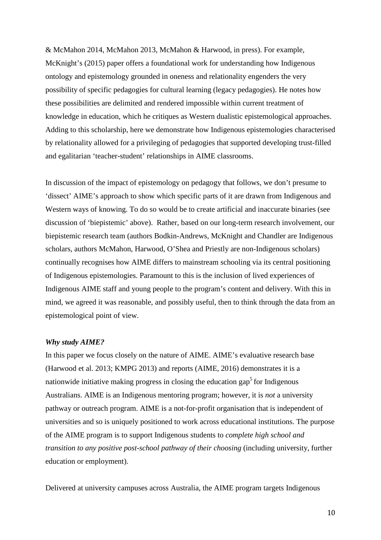& McMahon 2014, McMahon 2013, McMahon & Harwood, in press). For example, McKnight's (2015) paper offers a foundational work for understanding how Indigenous ontology and epistemology grounded in oneness and relationality engenders the very possibility of specific pedagogies for cultural learning (legacy pedagogies). He notes how these possibilities are delimited and rendered impossible within current treatment of knowledge in education, which he critiques as Western dualistic epistemological approaches. Adding to this scholarship, here we demonstrate how Indigenous epistemologies characterised by relationality allowed for a privileging of pedagogies that supported developing trust-filled and egalitarian 'teacher-student' relationships in AIME classrooms.

In discussion of the impact of epistemology on pedagogy that follows, we don't presume to 'dissect' AIME's approach to show which specific parts of it are drawn from Indigenous and Western ways of knowing. To do so would be to create artificial and inaccurate binaries (see discussion of 'biepistemic' above). Rather, based on our long-term research involvement, our biepistemic research team (authors Bodkin-Andrews, McKnight and Chandler are Indigenous scholars, authors McMahon, Harwood, O'Shea and Priestly are non-Indigenous scholars) continually recognises how AIME differs to mainstream schooling via its central positioning of Indigenous epistemologies. Paramount to this is the inclusion of lived experiences of Indigenous AIME staff and young people to the program's content and delivery. With this in mind, we agreed it was reasonable, and possibly useful, then to think through the data from an epistemological point of view.

#### *Why study AIME?*

In this paper we focus closely on the nature of AIME. AIME's evaluative research base (Harwood et al. 2013; KMPG 2013) and reports (AIME, 2016) demonstrates it is a nationwide initiative making progress in closing the education gap<sup>5</sup> for Indigenous Australians. AIME is an Indigenous mentoring program; however, it is *not* a university pathway or outreach program. AIME is a not-for-profit organisation that is independent of universities and so is uniquely positioned to work across educational institutions. The purpose of the AIME program is to support Indigenous students to *complete high school and transition to any positive post-school pathway of their choosing* (including university, further education or employment).

Delivered at university campuses across Australia, the AIME program targets Indigenous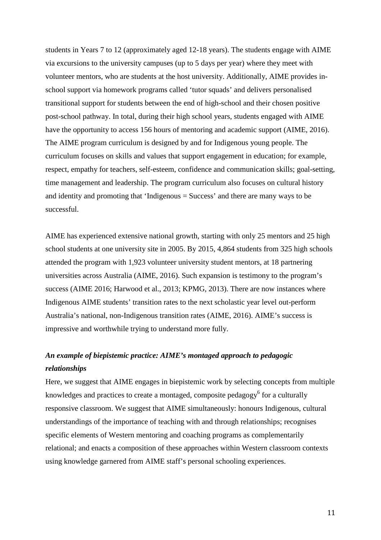students in Years 7 to 12 (approximately aged 12-18 years). The students engage with AIME via excursions to the university campuses (up to 5 days per year) where they meet with volunteer mentors, who are students at the host university. Additionally, AIME provides inschool support via homework programs called 'tutor squads' and delivers personalised transitional support for students between the end of high-school and their chosen positive post-school pathway. In total, during their high school years, students engaged with AIME have the opportunity to access 156 hours of mentoring and academic support (AIME, 2016). The AIME program curriculum is designed by and for Indigenous young people. The curriculum focuses on skills and values that support engagement in education; for example, respect, empathy for teachers, self-esteem, confidence and communication skills; goal-setting, time management and leadership. The program curriculum also focuses on cultural history and identity and promoting that 'Indigenous = Success' and there are many ways to be successful.

AIME has experienced extensive national growth, starting with only 25 mentors and 25 high school students at one university site in 2005. By 2015, 4,864 students from 325 high schools attended the program with 1,923 volunteer university student mentors, at 18 partnering universities across Australia (AIME, 2016). Such expansion is testimony to the program's success (AIME 2016; Harwood et al., 2013; KPMG, 2013). There are now instances where Indigenous AIME students' transition rates to the next scholastic year level out-perform Australia's national, non-Indigenous transition rates (AIME, 2016). AIME's success is impressive and worthwhile trying to understand more fully.

# *An example of biepistemic practice: AIME's montaged approach to pedagogic relationships*

Here, we suggest that AIME engages in biepistemic work by selecting concepts from multiple knowledges and practices to create a montaged, composite pedagogy<sup>6</sup> for a culturally responsive classroom. We suggest that AIME simultaneously: honours Indigenous, cultural understandings of the importance of teaching with and through relationships; recognises specific elements of Western mentoring and coaching programs as complementarily relational; and enacts a composition of these approaches within Western classroom contexts using knowledge garnered from AIME staff's personal schooling experiences.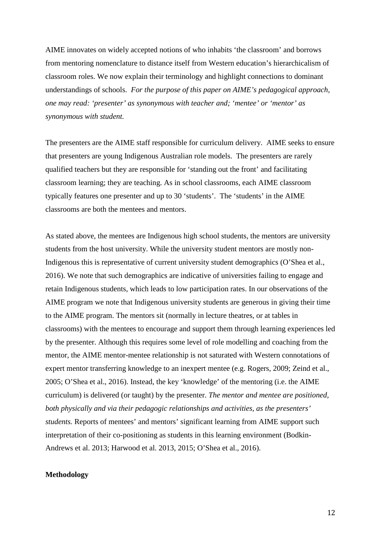AIME innovates on widely accepted notions of who inhabits 'the classroom' and borrows from mentoring nomenclature to distance itself from Western education's hierarchicalism of classroom roles. We now explain their terminology and highlight connections to dominant understandings of schools. *For the purpose of this paper on AIME's pedagogical approach, one may read: 'presenter' as synonymous with teacher and; 'mentee' or 'mentor' as synonymous with student.*

The presenters are the AIME staff responsible for curriculum delivery. AIME seeks to ensure that presenters are young Indigenous Australian role models. The presenters are rarely qualified teachers but they are responsible for 'standing out the front' and facilitating classroom learning; they are teaching. As in school classrooms, each AIME classroom typically features one presenter and up to 30 'students'. The 'students' in the AIME classrooms are both the mentees and mentors.

As stated above, the mentees are Indigenous high school students, the mentors are university students from the host university. While the university student mentors are mostly non-Indigenous this is representative of current university student demographics (O'Shea et al., 2016). We note that such demographics are indicative of universities failing to engage and retain Indigenous students, which leads to low participation rates. In our observations of the AIME program we note that Indigenous university students are generous in giving their time to the AIME program. The mentors sit (normally in lecture theatres, or at tables in classrooms) with the mentees to encourage and support them through learning experiences led by the presenter. Although this requires some level of role modelling and coaching from the mentor, the AIME mentor-mentee relationship is not saturated with Western connotations of expert mentor transferring knowledge to an inexpert mentee (e.g. Rogers, 2009; Zeind et al., 2005; O'Shea et al., 2016). Instead, the key 'knowledge' of the mentoring (i.e. the AIME curriculum) is delivered (or taught) by the presenter. *The mentor and mentee are positioned, both physically and via their pedagogic relationships and activities, as the presenters' students.* Reports of mentees' and mentors' significant learning from AIME support such interpretation of their co-positioning as students in this learning environment (Bodkin-Andrews et al. 2013; Harwood et al. 2013, 2015; O'Shea et al., 2016).

#### **Methodology**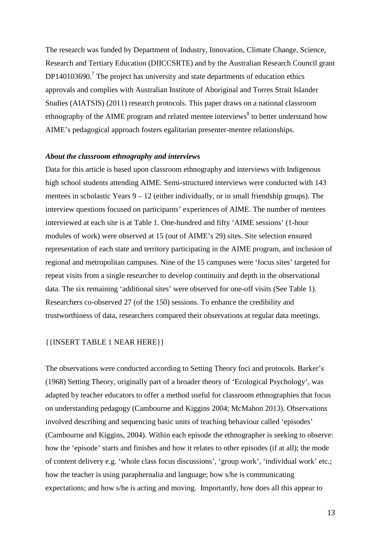The research was funded by Department of Industry, Innovation, Climate Change, Science, Research and Tertiary Education (DIICCSRTE) and by the Australian Research Council grant  $DP140103690$ .<sup>7</sup> The project has university and state departments of education ethics approvals and complies with Australian Institute of Aboriginal and Torres Strait Islander Studies (AIATSIS) (2011) research protocols. This paper draws on a national classroom ethnography of the AIME program and related mentee interviews<sup>8</sup> to better understand how AIME's pedagogical approach fosters egalitarian presenter-mentee relationships.

#### *About the classroom ethnography and interviews*

Data for this article is based upon classroom ethnography and interviews with Indigenous high school students attending AIME. Semi-structured interviews were conducted with 143 mentees in scholastic Years  $9 - 12$  (either individually, or in small friendship groups). The interview questions focused on participants' experiences of AIME. The number of mentees interviewed at each site is at Table 1. One-hundred and fifty 'AIME sessions' (1-hour modules of work) were observed at 15 (out of AIME's 29) sites. Site selection ensured representation of each state and territory participating in the AIME program, and inclusion of regional and metropolitan campuses. Nine of the 15 campuses were 'focus sites' targeted for repeat visits from a single researcher to develop continuity and depth in the observational data. The six remaining 'additional sites' were observed for one-off visits (See Table 1). Researchers co-observed 27 (of the 150) sessions. To enhance the credibility and trustworthiness of data, researchers compared their observations at regular data meetings.

#### {{INSERT TABLE 1 NEAR HERE}}

The observations were conducted according to Setting Theory foci and protocols. Barker's (1968) Setting Theory, originally part of a broader theory of 'Ecological Psychology', was adapted by teacher educators to offer a method useful for classroom ethnographies that focus on understanding pedagogy (Cambourne and Kiggins 2004; McMahon 2013). Observations involved describing and sequencing basic units of teaching behaviour called 'episodes' (Cambourne and Kiggins, 2004). Within each episode the ethnographer is seeking to observe: how the 'episode' starts and finishes and how it relates to other episodes (if at all); the mode of content delivery e.g. 'whole class focus discussions', 'group work', 'individual work' etc.; how the teacher is using paraphernalia and language; how s/he is communicating expectations; and how s/he is acting and moving. Importantly, how does all this appear to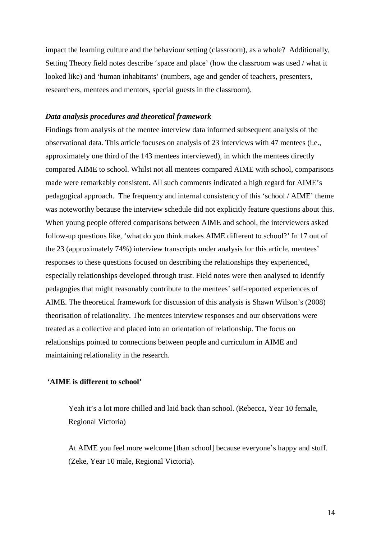impact the learning culture and the behaviour setting (classroom), as a whole? Additionally, Setting Theory field notes describe 'space and place' (how the classroom was used / what it looked like) and 'human inhabitants' (numbers, age and gender of teachers, presenters, researchers, mentees and mentors, special guests in the classroom).

#### *Data analysis procedures and theoretical framework*

Findings from analysis of the mentee interview data informed subsequent analysis of the observational data. This article focuses on analysis of 23 interviews with 47 mentees (i.e., approximately one third of the 143 mentees interviewed), in which the mentees directly compared AIME to school. Whilst not all mentees compared AIME with school, comparisons made were remarkably consistent. All such comments indicated a high regard for AIME's pedagogical approach. The frequency and internal consistency of this 'school / AIME' theme was noteworthy because the interview schedule did not explicitly feature questions about this. When young people offered comparisons between AIME and school, the interviewers asked follow-up questions like, 'what do you think makes AIME different to school?' In 17 out of the 23 (approximately 74%) interview transcripts under analysis for this article, mentees' responses to these questions focused on describing the relationships they experienced, especially relationships developed through trust. Field notes were then analysed to identify pedagogies that might reasonably contribute to the mentees' self-reported experiences of AIME. The theoretical framework for discussion of this analysis is Shawn Wilson's (2008) theorisation of relationality. The mentees interview responses and our observations were treated as a collective and placed into an orientation of relationship. The focus on relationships pointed to connections between people and curriculum in AIME and maintaining relationality in the research.

## **'AIME is different to school'**

Yeah it's a lot more chilled and laid back than school. (Rebecca, Year 10 female, Regional Victoria)

At AIME you feel more welcome [than school] because everyone's happy and stuff. (Zeke, Year 10 male, Regional Victoria).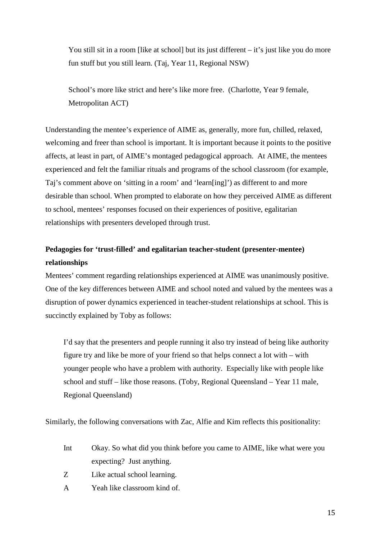You still sit in a room [like at school] but its just different – it's just like you do more fun stuff but you still learn. (Taj, Year 11, Regional NSW)

School's more like strict and here's like more free. (Charlotte, Year 9 female, Metropolitan ACT)

Understanding the mentee's experience of AIME as, generally, more fun, chilled, relaxed, welcoming and freer than school is important. It is important because it points to the positive affects, at least in part, of AIME's montaged pedagogical approach. At AIME, the mentees experienced and felt the familiar rituals and programs of the school classroom (for example, Taj's comment above on 'sitting in a room' and 'learn[ing]') as different to and more desirable than school. When prompted to elaborate on how they perceived AIME as different to school, mentees' responses focused on their experiences of positive, egalitarian relationships with presenters developed through trust.

# **Pedagogies for 'trust-filled' and egalitarian teacher-student (presenter-mentee) relationships**

Mentees' comment regarding relationships experienced at AIME was unanimously positive. One of the key differences between AIME and school noted and valued by the mentees was a disruption of power dynamics experienced in teacher-student relationships at school. This is succinctly explained by Toby as follows:

I'd say that the presenters and people running it also try instead of being like authority figure try and like be more of your friend so that helps connect a lot with – with younger people who have a problem with authority. Especially like with people like school and stuff – like those reasons. (Toby, Regional Queensland – Year 11 male, Regional Queensland)

Similarly, the following conversations with Zac, Alfie and Kim reflects this positionality:

- Int Okay. So what did you think before you came to AIME, like what were you expecting? Just anything.
- Z Like actual school learning.
- A Yeah like classroom kind of.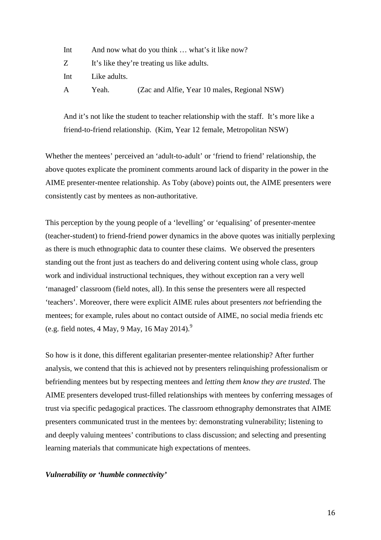| Int          |                                            | And now what do you think  what's it like now? |  |  |  |  |
|--------------|--------------------------------------------|------------------------------------------------|--|--|--|--|
| Z            | It's like they're treating us like adults. |                                                |  |  |  |  |
| Int          | Like adults.                               |                                                |  |  |  |  |
| $\mathsf{A}$ | Yeah.                                      | (Zac and Alfie, Year 10 males, Regional NSW)   |  |  |  |  |

And it's not like the student to teacher relationship with the staff. It's more like a friend-to-friend relationship. (Kim, Year 12 female, Metropolitan NSW)

Whether the mentees' perceived an 'adult-to-adult' or 'friend to friend' relationship, the above quotes explicate the prominent comments around lack of disparity in the power in the AIME presenter-mentee relationship. As Toby (above) points out, the AIME presenters were consistently cast by mentees as non-authoritative.

This perception by the young people of a 'levelling' or 'equalising' of presenter-mentee (teacher-student) to friend-friend power dynamics in the above quotes was initially perplexing as there is much ethnographic data to counter these claims. We observed the presenters standing out the front just as teachers do and delivering content using whole class, group work and individual instructional techniques, they without exception ran a very well 'managed' classroom (field notes, all). In this sense the presenters were all respected 'teachers'. Moreover, there were explicit AIME rules about presenters *not* befriending the mentees; for example, rules about no contact outside of AIME, no social media friends etc (e.g. field notes, 4 May, 9 May, 16 May 2014). $^9$ 

So how is it done, this different egalitarian presenter-mentee relationship? After further analysis, we contend that this is achieved not by presenters relinquishing professionalism or befriending mentees but by respecting mentees and *letting them know they are trusted*. The AIME presenters developed trust-filled relationships with mentees by conferring messages of trust via specific pedagogical practices. The classroom ethnography demonstrates that AIME presenters communicated trust in the mentees by: demonstrating vulnerability; listening to and deeply valuing mentees' contributions to class discussion; and selecting and presenting learning materials that communicate high expectations of mentees.

*Vulnerability or 'humble connectivity'*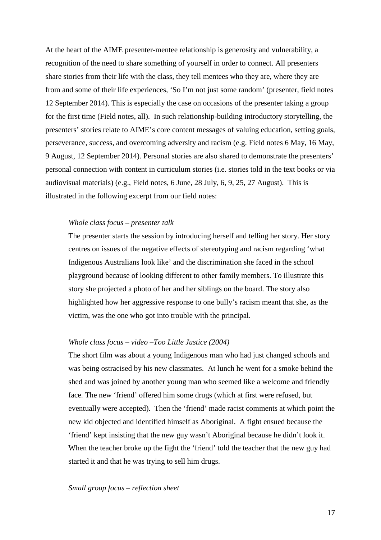At the heart of the AIME presenter-mentee relationship is generosity and vulnerability, a recognition of the need to share something of yourself in order to connect. All presenters share stories from their life with the class, they tell mentees who they are, where they are from and some of their life experiences, 'So I'm not just some random' (presenter, field notes 12 September 2014). This is especially the case on occasions of the presenter taking a group for the first time (Field notes, all). In such relationship-building introductory storytelling, the presenters' stories relate to AIME's core content messages of valuing education, setting goals, perseverance, success, and overcoming adversity and racism (e.g. Field notes 6 May, 16 May, 9 August, 12 September 2014). Personal stories are also shared to demonstrate the presenters' personal connection with content in curriculum stories (i.e. stories told in the text books or via audiovisual materials) (e.g., Field notes, 6 June, 28 July, 6, 9, 25, 27 August). This is illustrated in the following excerpt from our field notes:

#### *Whole class focus – presenter talk*

The presenter starts the session by introducing herself and telling her story. Her story centres on issues of the negative effects of stereotyping and racism regarding 'what Indigenous Australians look like' and the discrimination she faced in the school playground because of looking different to other family members. To illustrate this story she projected a photo of her and her siblings on the board. The story also highlighted how her aggressive response to one bully's racism meant that she, as the victim, was the one who got into trouble with the principal.

#### *Whole class focus – video –Too Little Justice (2004)*

The short film was about a young Indigenous man who had just changed schools and was being ostracised by his new classmates. At lunch he went for a smoke behind the shed and was joined by another young man who seemed like a welcome and friendly face. The new 'friend' offered him some drugs (which at first were refused, but eventually were accepted). Then the 'friend' made racist comments at which point the new kid objected and identified himself as Aboriginal. A fight ensued because the 'friend' kept insisting that the new guy wasn't Aboriginal because he didn't look it. When the teacher broke up the fight the 'friend' told the teacher that the new guy had started it and that he was trying to sell him drugs.

#### *Small group focus – reflection sheet*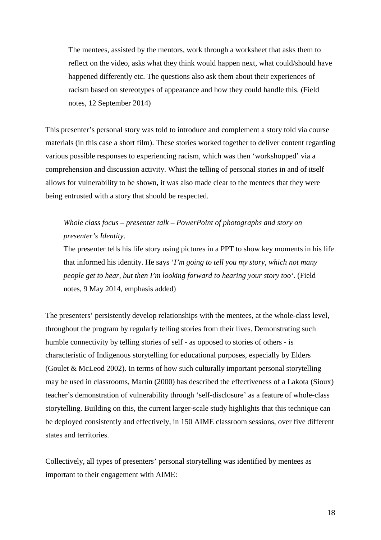The mentees, assisted by the mentors, work through a worksheet that asks them to reflect on the video, asks what they think would happen next, what could/should have happened differently etc. The questions also ask them about their experiences of racism based on stereotypes of appearance and how they could handle this. (Field notes, 12 September 2014)

This presenter's personal story was told to introduce and complement a story told via course materials (in this case a short film). These stories worked together to deliver content regarding various possible responses to experiencing racism, which was then 'workshopped' via a comprehension and discussion activity. Whist the telling of personal stories in and of itself allows for vulnerability to be shown, it was also made clear to the mentees that they were being entrusted with a story that should be respected.

# *Whole class focus – presenter talk – PowerPoint of photographs and story on presenter's Identity*.

The presenter tells his life story using pictures in a PPT to show key moments in his life that informed his identity. He says '*I'm going to tell you my story, which not many people get to hear, but then I'm looking forward to hearing your story too'*. (Field notes, 9 May 2014, emphasis added)

The presenters' persistently develop relationships with the mentees, at the whole-class level, throughout the program by regularly telling stories from their lives. Demonstrating such humble connectivity by telling stories of self - as opposed to stories of others - is characteristic of Indigenous storytelling for educational purposes, especially by Elders (Goulet & McLeod 2002). In terms of how such culturally important personal storytelling may be used in classrooms, Martin (2000) has described the effectiveness of a Lakota (Sioux) teacher's demonstration of vulnerability through 'self-disclosure' as a feature of whole-class storytelling. Building on this, the current larger-scale study highlights that this technique can be deployed consistently and effectively, in 150 AIME classroom sessions, over five different states and territories.

Collectively, all types of presenters' personal storytelling was identified by mentees as important to their engagement with AIME: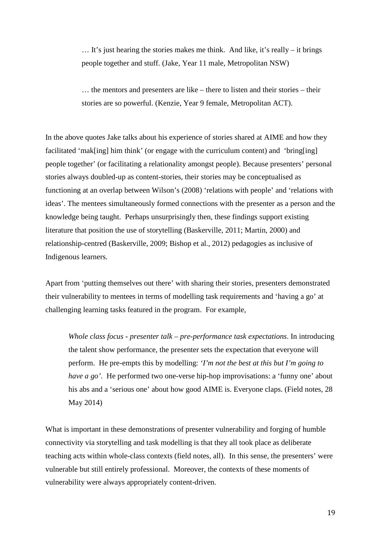… It's just hearing the stories makes me think. And like, it's really – it brings people together and stuff. (Jake, Year 11 male, Metropolitan NSW)

… the mentors and presenters are like – there to listen and their stories – their stories are so powerful. (Kenzie, Year 9 female, Metropolitan ACT).

In the above quotes Jake talks about his experience of stories shared at AIME and how they facilitated 'mak[ing] him think' (or engage with the curriculum content) and 'bring[ing] people together' (or facilitating a relationality amongst people). Because presenters' personal stories always doubled-up as content-stories, their stories may be conceptualised as functioning at an overlap between Wilson's (2008) 'relations with people' and 'relations with ideas'. The mentees simultaneously formed connections with the presenter as a person and the knowledge being taught. Perhaps unsurprisingly then, these findings support existing literature that position the use of storytelling (Baskerville, 2011; Martin, 2000) and relationship-centred (Baskerville, 2009; Bishop et al., 2012) pedagogies as inclusive of Indigenous learners.

Apart from 'putting themselves out there' with sharing their stories, presenters demonstrated their vulnerability to mentees in terms of modelling task requirements and 'having a go' at challenging learning tasks featured in the program. For example,

*Whole class focus - presenter talk – pre-performance task expectations*. In introducing the talent show performance, the presenter sets the expectation that everyone will perform. He pre-empts this by modelling: *'I'm not the best at this but I'm going to have a go'*. He performed two one-verse hip-hop improvisations: a 'funny one' about his abs and a 'serious one' about how good AIME is. Everyone claps. (Field notes, 28 May 2014)

What is important in these demonstrations of presenter vulnerability and forging of humble connectivity via storytelling and task modelling is that they all took place as deliberate teaching acts within whole-class contexts (field notes, all). In this sense, the presenters' were vulnerable but still entirely professional. Moreover, the contexts of these moments of vulnerability were always appropriately content-driven.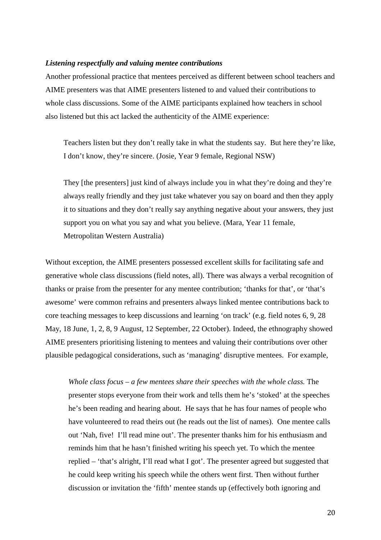#### *Listening respectfully and valuing mentee contributions*

Another professional practice that mentees perceived as different between school teachers and AIME presenters was that AIME presenters listened to and valued their contributions to whole class discussions. Some of the AIME participants explained how teachers in school also listened but this act lacked the authenticity of the AIME experience:

Teachers listen but they don't really take in what the students say. But here they're like, I don't know, they're sincere. (Josie, Year 9 female, Regional NSW)

They [the presenters] just kind of always include you in what they're doing and they're always really friendly and they just take whatever you say on board and then they apply it to situations and they don't really say anything negative about your answers, they just support you on what you say and what you believe. (Mara, Year 11 female, Metropolitan Western Australia)

Without exception, the AIME presenters possessed excellent skills for facilitating safe and generative whole class discussions (field notes, all). There was always a verbal recognition of thanks or praise from the presenter for any mentee contribution; 'thanks for that', or 'that's awesome' were common refrains and presenters always linked mentee contributions back to core teaching messages to keep discussions and learning 'on track' (e.g. field notes 6, 9, 28 May, 18 June, 1, 2, 8, 9 August, 12 September, 22 October). Indeed, the ethnography showed AIME presenters prioritising listening to mentees and valuing their contributions over other plausible pedagogical considerations, such as 'managing' disruptive mentees. For example,

*Whole class focus – a few mentees share their speeches with the whole class.* The presenter stops everyone from their work and tells them he's 'stoked' at the speeches he's been reading and hearing about. He says that he has four names of people who have volunteered to read theirs out (he reads out the list of names). One mentee calls out 'Nah, five! I'll read mine out'. The presenter thanks him for his enthusiasm and reminds him that he hasn't finished writing his speech yet. To which the mentee replied – 'that's alright, I'll read what I got'. The presenter agreed but suggested that he could keep writing his speech while the others went first. Then without further discussion or invitation the 'fifth' mentee stands up (effectively both ignoring and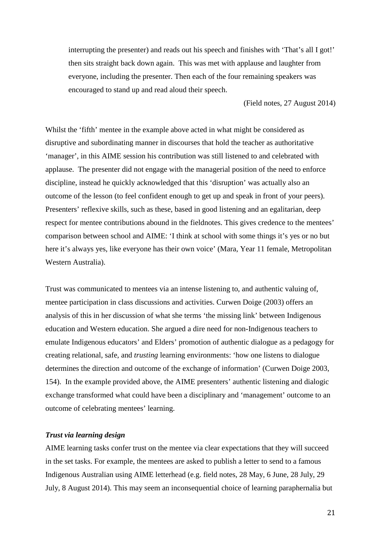interrupting the presenter) and reads out his speech and finishes with 'That's all I got!' then sits straight back down again. This was met with applause and laughter from everyone, including the presenter. Then each of the four remaining speakers was encouraged to stand up and read aloud their speech.

(Field notes, 27 August 2014)

Whilst the 'fifth' mentee in the example above acted in what might be considered as disruptive and subordinating manner in discourses that hold the teacher as authoritative 'manager', in this AIME session his contribution was still listened to and celebrated with applause. The presenter did not engage with the managerial position of the need to enforce discipline, instead he quickly acknowledged that this 'disruption' was actually also an outcome of the lesson (to feel confident enough to get up and speak in front of your peers). Presenters' reflexive skills, such as these, based in good listening and an egalitarian, deep respect for mentee contributions abound in the fieldnotes. This gives credence to the mentees' comparison between school and AIME: 'I think at school with some things it's yes or no but here it's always yes, like everyone has their own voice' (Mara, Year 11 female, Metropolitan Western Australia).

Trust was communicated to mentees via an intense listening to, and authentic valuing of, mentee participation in class discussions and activities. Curwen Doige (2003) offers an analysis of this in her discussion of what she terms 'the missing link' between Indigenous education and Western education. She argued a dire need for non-Indigenous teachers to emulate Indigenous educators' and Elders' promotion of authentic dialogue as a pedagogy for creating relational, safe, and *trusting* learning environments: 'how one listens to dialogue determines the direction and outcome of the exchange of information' (Curwen Doige 2003, 154). In the example provided above, the AIME presenters' authentic listening and dialogic exchange transformed what could have been a disciplinary and 'management' outcome to an outcome of celebrating mentees' learning.

#### *Trust via learning design*

AIME learning tasks confer trust on the mentee via clear expectations that they will succeed in the set tasks. For example, the mentees are asked to publish a letter to send to a famous Indigenous Australian using AIME letterhead (e.g. field notes, 28 May, 6 June, 28 July, 29 July, 8 August 2014). This may seem an inconsequential choice of learning paraphernalia but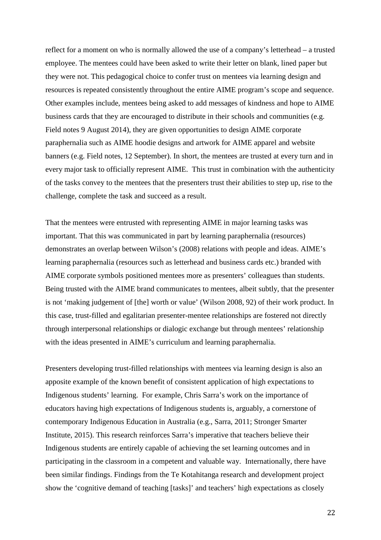reflect for a moment on who is normally allowed the use of a company's letterhead – a trusted employee. The mentees could have been asked to write their letter on blank, lined paper but they were not. This pedagogical choice to confer trust on mentees via learning design and resources is repeated consistently throughout the entire AIME program's scope and sequence. Other examples include, mentees being asked to add messages of kindness and hope to AIME business cards that they are encouraged to distribute in their schools and communities (e.g. Field notes 9 August 2014), they are given opportunities to design AIME corporate paraphernalia such as AIME hoodie designs and artwork for AIME apparel and website banners (e.g. Field notes, 12 September). In short, the mentees are trusted at every turn and in every major task to officially represent AIME. This trust in combination with the authenticity of the tasks convey to the mentees that the presenters trust their abilities to step up, rise to the challenge, complete the task and succeed as a result.

That the mentees were entrusted with representing AIME in major learning tasks was important. That this was communicated in part by learning paraphernalia (resources) demonstrates an overlap between Wilson's (2008) relations with people and ideas. AIME's learning paraphernalia (resources such as letterhead and business cards etc.) branded with AIME corporate symbols positioned mentees more as presenters' colleagues than students. Being trusted with the AIME brand communicates to mentees, albeit subtly, that the presenter is not 'making judgement of [the] worth or value' (Wilson 2008, 92) of their work product. In this case, trust-filled and egalitarian presenter-mentee relationships are fostered not directly through interpersonal relationships or dialogic exchange but through mentees' relationship with the ideas presented in AIME's curriculum and learning paraphernalia.

Presenters developing trust-filled relationships with mentees via learning design is also an apposite example of the known benefit of consistent application of high expectations to Indigenous students' learning. For example, Chris Sarra's work on the importance of educators having high expectations of Indigenous students is, arguably, a cornerstone of contemporary Indigenous Education in Australia (e.g., Sarra, 2011; Stronger Smarter Institute, 2015). This research reinforces Sarra's imperative that teachers believe their Indigenous students are entirely capable of achieving the set learning outcomes and in participating in the classroom in a competent and valuable way. Internationally, there have been similar findings. Findings from the Te Kotahitanga research and development project show the 'cognitive demand of teaching [tasks]' and teachers' high expectations as closely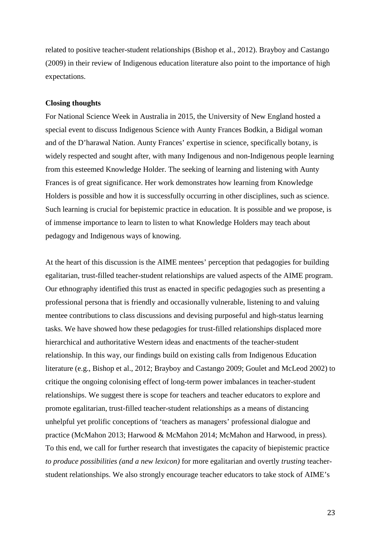related to positive teacher-student relationships (Bishop et al., 2012). Brayboy and Castango (2009) in their review of Indigenous education literature also point to the importance of high expectations.

#### **Closing thoughts**

For National Science Week in Australia in 2015, the University of New England hosted a special event to discuss Indigenous Science with Aunty Frances Bodkin, a Bidigal woman and of the D'harawal Nation. Aunty Frances' expertise in science, specifically botany, is widely respected and sought after, with many Indigenous and non-Indigenous people learning from this esteemed Knowledge Holder. The seeking of learning and listening with Aunty Frances is of great significance. Her work demonstrates how learning from Knowledge Holders is possible and how it is successfully occurring in other disciplines, such as science. Such learning is crucial for bepistemic practice in education. It is possible and we propose, is of immense importance to learn to listen to what Knowledge Holders may teach about pedagogy and Indigenous ways of knowing.

At the heart of this discussion is the AIME mentees' perception that pedagogies for building egalitarian, trust-filled teacher-student relationships are valued aspects of the AIME program. Our ethnography identified this trust as enacted in specific pedagogies such as presenting a professional persona that is friendly and occasionally vulnerable, listening to and valuing mentee contributions to class discussions and devising purposeful and high-status learning tasks. We have showed how these pedagogies for trust-filled relationships displaced more hierarchical and authoritative Western ideas and enactments of the teacher-student relationship. In this way, our findings build on existing calls from Indigenous Education literature (e.g., Bishop et al., 2012; Brayboy and Castango 2009; Goulet and McLeod 2002) to critique the ongoing colonising effect of long-term power imbalances in teacher-student relationships. We suggest there is scope for teachers and teacher educators to explore and promote egalitarian, trust-filled teacher-student relationships as a means of distancing unhelpful yet prolific conceptions of 'teachers as managers' professional dialogue and practice (McMahon 2013; Harwood & McMahon 2014; McMahon and Harwood, in press). To this end, we call for further research that investigates the capacity of biepistemic practice *to produce possibilities (and a new lexicon)* for more egalitarian and overtly *trusting* teacherstudent relationships. We also strongly encourage teacher educators to take stock of AIME's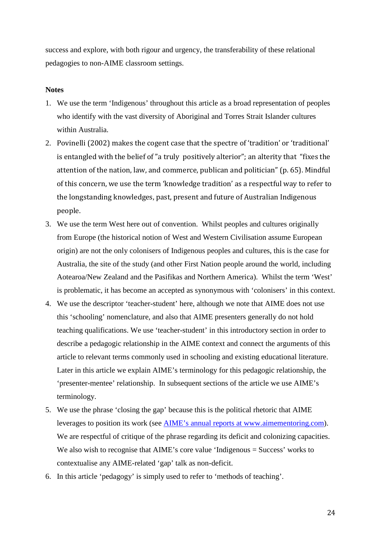success and explore, with both rigour and urgency, the transferability of these relational pedagogies to non-AIME classroom settings.

## **Notes**

- 1. We use the term 'Indigenous' throughout this article as a broad representation of peoples who identify with the vast diversity of Aboriginal and Torres Strait Islander cultures within Australia.
- 2. Povinelli (2002) makes the cogent case that the spectre of 'tradition' or 'traditional' is entangled with the belief of "a truly positively alterior"; an alterity that "fixes the attention of the nation, law, and commerce, publican and politician" (p. 65). Mindful of this concern, we use the term 'knowledge tradition' as a respectful way to refer to the longstanding knowledges, past, present and future of Australian Indigenous people.
- 3. We use the term West here out of convention. Whilst peoples and cultures originally from Europe (the historical notion of West and Western Civilisation assume European origin) are not the only colonisers of Indigenous peoples and cultures, this is the case for Australia, the site of the study (and other First Nation people around the world, including Aotearoa/New Zealand and the Pasifikas and Northern America). Whilst the term 'West' is problematic, it has become an accepted as synonymous with 'colonisers' in this context.
- 4. We use the descriptor 'teacher-student' here, although we note that AIME does not use this 'schooling' nomenclature, and also that AIME presenters generally do not hold teaching qualifications. We use 'teacher-student' in this introductory section in order to describe a pedagogic relationship in the AIME context and connect the arguments of this article to relevant terms commonly used in schooling and existing educational literature. Later in this article we explain AIME's terminology for this pedagogic relationship, the 'presenter-mentee' relationship. In subsequent sections of the article we use AIME's terminology.
- 5. We use the phrase 'closing the gap' because this is the political rhetoric that AIME leverages to position its work (see **AIME**'s annual reports at www.aimementoring.com). We are respectful of critique of the phrase regarding its deficit and colonizing capacities. We also wish to recognise that AIME's core value 'Indigenous = Success' works to contextualise any AIME-related 'gap' talk as non-deficit.
- 6. In this article 'pedagogy' is simply used to refer to 'methods of teaching'.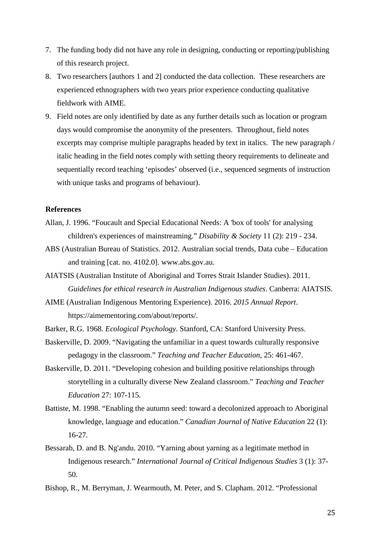- 7. The funding body did not have any role in designing, conducting or reporting/publishing of this research project.
- 8. Two researchers [authors 1 and 2] conducted the data collection. These researchers are experienced ethnographers with two years prior experience conducting qualitative fieldwork with AIME.
- 9. Field notes are only identified by date as any further details such as location or program days would compromise the anonymity of the presenters. Throughout, field notes excerpts may comprise multiple paragraphs headed by text in italics. The new paragraph / italic heading in the field notes comply with setting theory requirements to delineate and sequentially record teaching 'episodes' observed (i.e., sequenced segments of instruction with unique tasks and programs of behaviour).

## **References**

- Allan, J. 1996. "Foucault and Special Educational Needs: A 'box of tools' for analysing children's experiences of mainstreaming." *Disability & Society* 11 (2): 219 - 234.
- ABS (Australian Bureau of Statistics. 2012. Australian social trends, Data cube Education and training [cat. no. 4102.0]. www.abs.gov.au.
- AIATSIS (Australian Institute of Aboriginal and Torres Strait Islander Studies). 2011. *Guidelines for ethical research in Australian Indigenous studies*. Canberra: AIATSIS.
- AIME (Australian Indigenous Mentoring Experience). 2016. *2015 Annual Report*. https://aimementoring.com/about/reports/.
- Barker, R.G. 1968. *Ecological Psychology*. Stanford, CA: Stanford University Press.
- Baskerville, D. 2009. "Navigating the unfamiliar in a quest towards culturally responsive pedagogy in the classroom." *Teaching and Teacher Education*, 25: 461-467.
- Baskerville, D. 2011. "Developing cohesion and building positive relationships through storytelling in a culturally diverse New Zealand classroom." *Teaching and Teacher Education* 27: 107-115.
- Battiste, M. 1998. "Enabling the autumn seed: toward a decolonized approach to Aboriginal knowledge, language and education." *Canadian Journal of Native Education* 22 (1): 16-27.
- Bessarab, D. and B. Ng'andu. 2010. "Yarning about yarning as a legitimate method in Indigenous research." *International Journal of Critical Indigenous Studies* 3 (1): 37- 50.

Bishop, R., M. Berryman, J. Wearmouth, M. Peter, and S. Clapham. 2012. "Professional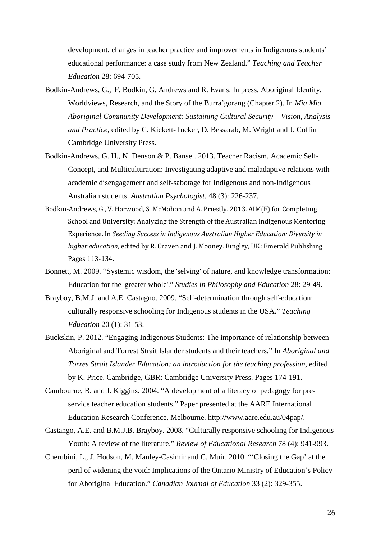development, changes in teacher practice and improvements in Indigenous students' educational performance: a case study from New Zealand." *Teaching and Teacher Education* 28: 694-705.

- Bodkin-Andrews, G., F. Bodkin, G. Andrews and R. Evans. In press. Aboriginal Identity, Worldviews, Research, and the Story of the Burra'gorang (Chapter 2). In *Mia Mia Aboriginal Community Development: Sustaining Cultural Security – Vision, Analysis and Practice*, edited by C. Kickett-Tucker, D. Bessarab, M. Wright and J. Coffin Cambridge University Press.
- Bodkin-Andrews, G. H., N. Denson & P. Bansel. 2013. Teacher Racism, Academic Self-Concept, and Multiculturation: Investigating adaptive and maladaptive relations with academic disengagement and self-sabotage for Indigenous and non-Indigenous Australian students. *Australian Psychologist*, 48 (3): 226-237.
- Bodkin-Andrews, G., V. Harwood, S. McMahon and A. Priestly. 2013. AIM(E) for Completing School and University: Analyzing the Strength of the Australian Indigenous Mentoring Experience. In *Seeding Success in Indigenous Australian Higher Education: Diversity in higher education*, edited by R. Craven and J. Mooney. Bingley, UK: Emerald Publishing. Pages 113-134.
- Bonnett, M. 2009. "Systemic wisdom, the 'selving' of nature, and knowledge transformation: Education for the 'greater whole'." *Studies in Philosophy and Education* 28: 29-49.
- Brayboy, B.M.J. and A.E. Castagno. 2009. "Self-determination through self-education: culturally responsive schooling for Indigenous students in the USA." *Teaching Education* 20 (1): 31-53.
- Buckskin, P. 2012. "Engaging Indigenous Students: The importance of relationship between Aboriginal and Torrest Strait Islander students and their teachers." In *Aboriginal and Torres Strait Islander Education: an introduction for the teaching profession*, edited by K. Price. Cambridge, GBR: Cambridge University Press. Pages 174-191.
- Cambourne, B. and J. Kiggins. 2004. "A development of a literacy of pedagogy for preservice teacher education students." Paper presented at the AARE International Education Research Conference, Melbourne. [http://www.aare.edu.au/04pap/.](http://www.aare.edu.au/04pap/)
- Castango, A.E. and B.M.J.B. Brayboy. 2008. "Culturally responsive schooling for Indigenous Youth: A review of the literature." *Review of Educational Research* 78 (4): 941-993.
- Cherubini, L., J. Hodson, M. Manley-Casimir and C. Muir. 2010. "'Closing the Gap' at the peril of widening the void: Implications of the Ontario Ministry of Education's Policy for Aboriginal Education." *Canadian Journal of Education* 33 (2): 329-355.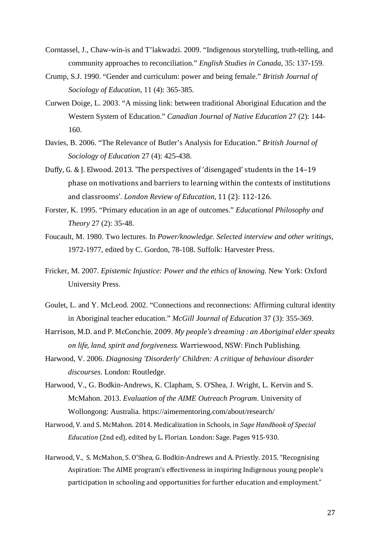- Corntassel, J., Chaw-win-is and T'lakwadzi. 2009. "Indigenous storytelling, truth-telling, and community approaches to reconciliation." *English Studies in Canada*, 35: 137-159.
- Crump, S.J. 1990. "Gender and curriculum: power and being female." *British Journal of Sociology of Education*, 11 (4): 365-385.
- Curwen Doige, L. 2003. "A missing link: between traditional Aboriginal Education and the Western System of Education." *Canadian Journal of Native Education* 27 (2): 144- 160.
- Davies, B. 2006. "The Relevance of Butler's Analysis for Education." *British Journal of Sociology of Education* 27 (4): 425-438.
- Duffy, G. & J. Elwood. 2013. 'The perspectives of 'disengaged' students in the 14–19 phase on motivations and barriers to learning within the contexts of institutions and classrooms'. *London Review of Education*, 11 (2): 112-126.
- Forster, K. 1995. "Primary education in an age of outcomes." *Educational Philosophy and Theory* 27 (2): 35-48.
- Foucault, M. 1980. Two lectures. In *Power/knowledge. Selected interview and other writings*, 1972-1977, edited by C. Gordon, 78-108. Suffolk: Harvester Press.
- Fricker, M. 2007. *Epistemic Injustice: Power and the ethics of knowing*. New York: Oxford University Press.
- Goulet, L. and Y. McLeod. 2002. "Connections and reconnections: Affirming cultural identity in Aboriginal teacher education." *McGill Journal of Education* 37 (3): 355-369.
- Harrison, M.D. and P. McConchie. 2009. *My people's dreaming : an Aboriginal elder speaks on life, land, spirit and forgiveness*. Warriewood, NSW: Finch Publishing.
- Harwood, V. 2006. *Diagnosing 'Disorderly' Children: A critique of behaviour disorder discourses*. London: Routledge.
- Harwood, V., G. Bodkin-Andrews, K. Clapham, S. O'Shea, J. Wright, L. Kervin and S. McMahon. 2013. *Evaluation of the AIME Outreach Program*. University of Wollongong: Australia. https://aimementoring.com/about/research/
- Harwood, V. and S. McMahon. 2014. Medicalization in Schools, in *Sage Handbook of Special Education* (2nd ed), edited by L. Florian. London: Sage. Pages 915-930.
- Harwood, V., S. McMahon, S. O'Shea, G. Bodkin-Andrews and A. Priestly. 2015. "Recognising Aspiration: The AIME program's effectiveness in inspiring Indigenous young people's participation in schooling and opportunities for further education and employment."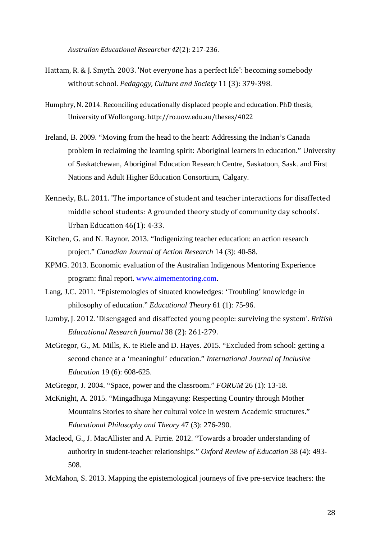*Australian Educational Researcher 42*(2): 217-236.

- Hattam, R. & J. Smyth. 2003. 'Not everyone has a perfect life': becoming somebody without school. *Pedagogy, Culture and Society* 11 (3): 379-398.
- Humphry, N. 2014. Reconciling educationally displaced people and education. PhD thesis, University of Wollongong. http://ro.uow.edu.au/theses/4022
- Ireland, B. 2009. "Moving from the head to the heart: Addressing the Indian's Canada problem in reclaiming the learning spirit: Aboriginal learners in education." University of Saskatchewan, Aboriginal Education Research Centre, Saskatoon, Sask. and First Nations and Adult Higher Education Consortium, Calgary.
- Kennedy, B.L. 2011. 'The importance of student and teacher interactions for disaffected middle school students: A grounded theory study of community day schools'. Urban Education 46(1): 4-33.
- Kitchen, G. and N. Raynor. 2013. "Indigenizing teacher education: an action research project." *Canadian Journal of Action Research* 14 (3): 40-58.
- KPMG. 2013. Economic evaluation of the Australian Indigenous Mentoring Experience program: final report. [www.aimementoring.com.](http://www.aimementoring.com/)
- Lang, J.C. 2011. "Epistemologies of situated knowledges: 'Troubling' knowledge in philosophy of education." *Educational Theory* 61 (1): 75-96.
- Lumby, J. 2012. 'Disengaged and disaffected young people: surviving the system'. *British Educational Research Journal* 38 (2): 261-279.
- McGregor, G., M. Mills, K. te Riele and D. Hayes. 2015. "Excluded from school: getting a second chance at a 'meaningful' education." *International Journal of Inclusive Education* 19 (6): 608-625.
- McGregor, J. 2004. "Space, power and the classroom." *FORUM* 26 (1): 13-18.
- McKnight, A. 2015. "Mingadhuga Mingayung: Respecting Country through Mother Mountains Stories to share her cultural voice in western Academic structures." *Educational Philosophy and Theory* 47 (3): 276-290.
- Macleod, G., J. MacAllister and A. Pirrie. 2012. "Towards a broader understanding of authority in student-teacher relationships." *Oxford Review of Education* 38 (4): 493- 508.

McMahon, S. 2013. Mapping the epistemological journeys of five pre-service teachers: the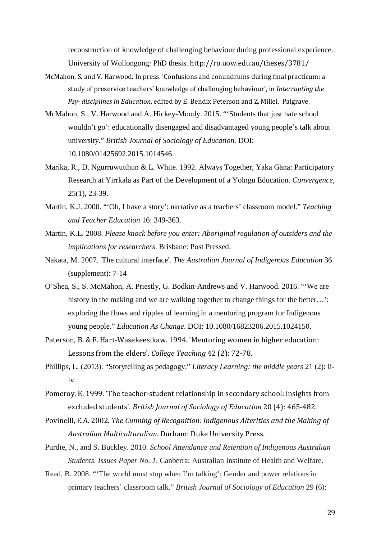reconstruction of knowledge of challenging behaviour during professional experience. University of Wollongong: PhD thesis. <http://ro.uow.edu.au/theses/3781/>

- McMahon, S. and V. Harwood. In press. 'Confusions and conundrums during final practicum: a study of preservice teachers' knowledge of challenging behaviour', in *Interrupting the Psy- disciplines in Education*, edited by E. Bendix Peterson and Z. Millei. Palgrave.
- McMahon, S., V. Harwood and A. Hickey-Moody. 2015. "'Students that just hate school wouldn't go': educationally disengaged and disadvantaged young people's talk about university." *British Journal of Sociology of Education*. DOI: 10.1080/01425692.2015.1014546.
- Marika, R., D. Ngurruwutthun & L. White. 1992. Always Together, Yaka Gäna: Participatory Research at Yirrkala as Part of the Development of a Yolngu Education. *Convergence*, 25(1), 23-39.
- Martin, K.J. 2000. "'Oh, I have a story': narrative as a teachers' classroom model." *Teaching and Teacher Education* 16: 349-363.
- Martin, K.L. 2008. *Please knock before you enter: Aboriginal regulation of outsiders and the implications for researchers*. Brisbane: Post Pressed.
- Nakata, M. 2007. 'The cultural interface'. *The Australian Journal of Indigenous Education* 36 (supplement): 7-14
- O'Shea, S., S. McMahon, A. Priestly, G. Bodkin-Andrews and V. Harwood. 2016. "'We are history in the making and we are walking together to change things for the better...': exploring the flows and ripples of learning in a mentoring program for Indigenous young people." *Education As Change*. DOI: [10.1080/16823206.2015.1024150.](http://dx.doi.org/10.1080/16823206.2015.1024150)
- Paterson, B. & F. Hart-Wasekeesikaw. 1994. 'Mentoring women in higher education: Lessons from the elders'. *College Teaching* 42 (2): 72-78.
- Phillips, L. (2013). "Storytelling as pedagogy." *Literacy Learning: the middle years* 21 (2): iiiv.
- Pomeroy, E. 1999. 'The teacher-student relationship in secondary school: insights from excluded students'. *British Journal of Sociology of Education* 20 (4): 465-482.
- Povinelli, E.A. 2002. *The Cunning of Recognition: Indigenous Alterities and the Making of Australian Multiculturalism*. Durham: Duke University Press.
- Purdie, N., and S. Buckley. 2010. *School Attendance and Retention of Indigenous Australian Students. Issues Paper No. 1*. Canberra: Australian Institute of Health and Welfare.
- Read, B. 2008. "'The world must stop when I'm talking': Gender and power relations in primary teachers' classroom talk." *British Journal of Sociology of Education* 29 (6):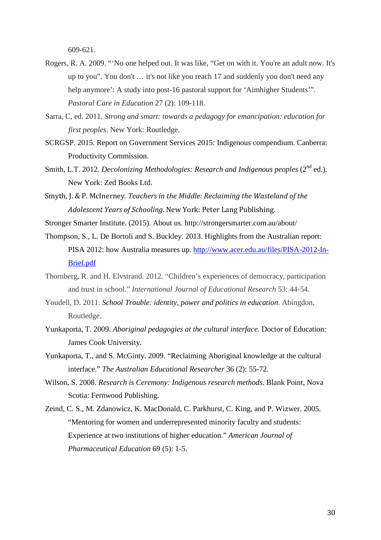609-621.

- Rogers, R. A. 2009. "'No one helped out. It was like, "Get on with it. You're an adult now. It's up to you". You don't … it's not like you reach 17 and suddenly you don't need any help anymore': A study into post-16 pastoral support for 'Aimhigher Students'". *Pastoral Care in Education* 27 (2): 109-118.
- Sarra, C, ed. 2011. *Strong and smart: towards a pedagogy for emancipation: education for first peoples*. New York: Routledge.
- SCRGSP. 2015. Report on Government Services 2015: Indigenous compendium. Canberra: Productivity Commission.
- Smith, L.T. 2012. *Decolonizing Methodologies: Research and Indigenous peoples* (2<sup>nd</sup> ed.). New York: Zed Books Ltd.
- Smyth, J. & P. McInerney. *Teachers in the Middle: Reclaiming the Wasteland of the Adolescent Years of Schooling*. New York: Peter Lang Publishing.
- Stronger Smarter Institute. (2015). About us. http://strongersmarter.com.au/about/
- Thompson, S., L. De Bortoli and S. Buckley. 2013. Highlights from the Australian report: PISA 2012: how Australia measures up. [http://www.acer.edu.au/files/PISA-2012-In-](http://www.acer.edu.au/files/PISA-2012-In-Brief.pdf)[Brief.pdf](http://www.acer.edu.au/files/PISA-2012-In-Brief.pdf)
- Thornberg, R. and H. Elvstrand. 2012. "Children's experiences of democracy, participation and trust in school." *International Journal of Educational Research* 53: 44-54.
- Youdell, D. 2011. *School Trouble: identity, power and politics in education*. Abingdon, Routledge.
- Yunkaporta, T. 2009. *Aboriginal pedagogies at the cultural interface.* Doctor of Education: James Cook University.
- Yunkaporta, T., and S. McGinty. 2009. "Reclaiming Aboriginal knowledge at the cultural interface." *The Australian Educational Researcher* 36 (2): 55-72.
- Wilson, S. 2008. *Research is Ceremony: Indigenous research methods*. Blank Point, Nova Scotia: Fernwood Publishing.
- Zeind, C. S., M. Zdanowicz, K. MacDonald, C. Parkhurst, C. King, and P. Wizwer. 2005. "Mentoring for women and underrepresented minority faculty and students: Experience at two institutions of higher education." *American Journal of Pharmaceutical Education* 69 (5): 1-5.